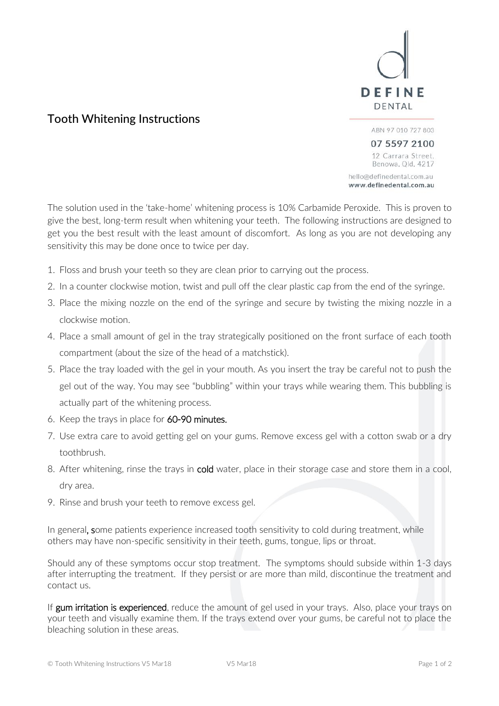

# Tooth Whitening Instructions

07 5597 2100 12 Carrara Street, Benowa, Qld, 4217 hello@definedental.com.au www.definedental.com.au

ABN 97 010 727 803

The solution used in the 'take-home' whitening process is 10% Carbamide Peroxide. This is proven to give the best, long-term result when whitening your teeth. The following instructions are designed to get you the best result with the least amount of discomfort. As long as you are not developing any sensitivity this may be done once to twice per day.

- 1. Floss and brush your teeth so they are clean prior to carrying out the process.
- 2. In a counter clockwise motion, twist and pull off the clear plastic cap from the end of the syringe.
- 3. Place the mixing nozzle on the end of the syringe and secure by twisting the mixing nozzle in a clockwise motion.
- 4. Place a small amount of gel in the tray strategically positioned on the front surface of each tooth compartment (about the size of the head of a matchstick).
- 5. Place the tray loaded with the gel in your mouth. As you insert the tray be careful not to push the gel out of the way. You may see "bubbling" within your trays while wearing them. This bubbling is actually part of the whitening process.
- 6. Keep the trays in place for 60-90 minutes.
- 7. Use extra care to avoid getting gel on your gums. Remove excess gel with a cotton swab or a dry toothbrush.
- 8. After whitening, rinse the trays in cold water, place in their storage case and store them in a cool, dry area.
- 9. Rinse and brush your teeth to remove excess gel.

In general, some patients experience increased tooth sensitivity to cold during treatment, while others may have non-specific sensitivity in their teeth, gums, tongue, lips or throat.

Should any of these symptoms occur stop treatment. The symptoms should subside within 1-3 days after interrupting the treatment. If they persist or are more than mild, discontinue the treatment and contact us.

If gum irritation is experienced, reduce the amount of gel used in your trays. Also, place your trays on your teeth and visually examine them. If the trays extend over your gums, be careful not to place the bleaching solution in these areas.